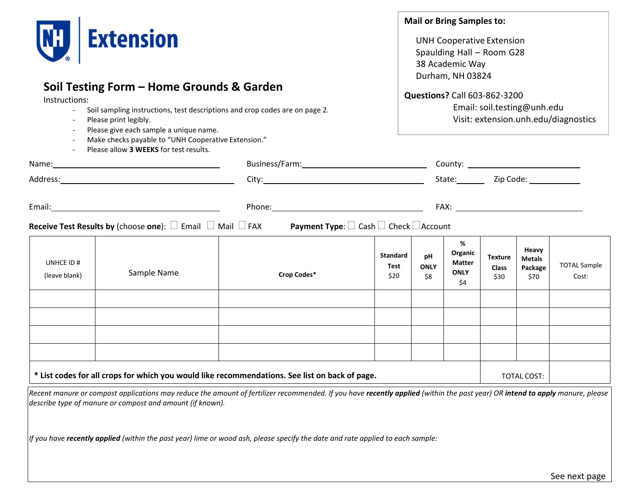

## **Soil Testing Form – Home Grounds & Garden**

Instructions:

- Soil sampling instructions, test descriptions and crop codes are on page 2.
- Please print legibly.
- Please give each sample a unique name.
- Make checks payable to "UNH Cooperative Extension."
- Please allow **3 WEEKS** for test results.

#### **Mail or Bring Samples to:**

UNH Cooperative Extension Spaulding Hall – Room G28 38 Academic Way Durham, NH 03824

**Questions?** Call 603-862-3200

Email: [soil.testing@unh.edu](mailto:soil.testing@unh.edu) Visit: extension.unh.edu/diagnostics

|                                                                                                |             |                                                                                                                                                                                                                                                                           |                                 |                          | State: <u>Zip Code:</u>                             |                                        |                                           |                              |
|------------------------------------------------------------------------------------------------|-------------|---------------------------------------------------------------------------------------------------------------------------------------------------------------------------------------------------------------------------------------------------------------------------|---------------------------------|--------------------------|-----------------------------------------------------|----------------------------------------|-------------------------------------------|------------------------------|
|                                                                                                |             | Phone: 2008 2010 2010 2010 2010 2010 2021 2022 2023 2024 2022 2023 2024 2022 2023 2024 2025 2026 2027 2028 20<br><b>Receive Test Results by</b> (choose one): $\square$ Email $\square$ Mail $\square$ FAX Payment Type: $\square$ Cash $\square$ Check $\square$ Account |                                 |                          |                                                     |                                        |                                           |                              |
| UNHCE ID#<br>(leave blank)                                                                     | Sample Name | Crop Codes*                                                                                                                                                                                                                                                               | <b>Standard</b><br>Test<br>\$20 | pH<br><b>ONLY</b><br>\$8 | %<br>Organic<br><b>Matter</b><br><b>ONLY</b><br>\$4 | <b>Texture</b><br><b>Class</b><br>\$30 | Heavy<br><b>Metals</b><br>Package<br>\$70 | <b>TOTAL Sample</b><br>Cost: |
|                                                                                                |             |                                                                                                                                                                                                                                                                           |                                 |                          |                                                     |                                        |                                           |                              |
|                                                                                                |             |                                                                                                                                                                                                                                                                           |                                 |                          |                                                     |                                        |                                           |                              |
|                                                                                                |             |                                                                                                                                                                                                                                                                           |                                 |                          |                                                     |                                        |                                           |                              |
| * List codes for all crops for which you would like recommendations. See list on back of page. |             |                                                                                                                                                                                                                                                                           |                                 |                          |                                                     | TOTAL COST:                            |                                           |                              |
|                                                                                                |             |                                                                                                                                                                                                                                                                           |                                 |                          |                                                     |                                        |                                           |                              |

*Recent manure or compost applications may reduce the amount of fertilizer recommended. If you have recently applied (within the past year) OR intend to apply manure, please describe type of manure or compost and amount (if known).*

*If you have recently applied (within the past year) lime or wood ash, please specify the date and rate applied to each sample:*